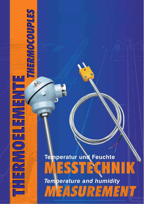# **Temperatur und Feuchte** ESST RCHNIK **Temperature and humidity** MEASUREMENT

# **SETIGIOOOOON/SEIN!** No) **HARMETEROWS**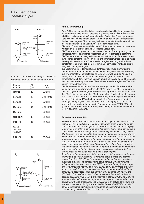

|  | Elemente und ihre Bezeichnungen nach Norm    |  |
|--|----------------------------------------------|--|
|  | Elements and their descriptions acc. to norm |  |

| Element<br>element             | Typ<br>type | Norm<br>norm     |
|--------------------------------|-------------|------------------|
| NiCr-Ni                        | K           | IEC 584-1        |
| Fe-CuNi                        | L           | DIN 43710        |
| Fe-CuNi                        | J           | IEC 584-1        |
| Cu-CuNi                        | U           | <b>DIN 43710</b> |
| Cu-CuNi                        | T           | IEC 584-1        |
| NiCr-CuNi                      | F           | IEC 584-1        |
| PtRh-Pt                        | S           | IEC 584-1        |
| 90% Pt.<br>10% Rh -<br>100% Pt |             |                  |
| PtRh-Pt                        | R           | IEC 584-1        |



#### Aufbau und Wirkung:

Zwei Drähte aus unterschiedlichen Metallen oder Metalllegierungen werden an einem Ende miteinander verschweißt ("heißes Ende"). Die Schweißstelle wird Messstelle genannt, während die freien Enden des Thermopaares als Vergleichsstelle bezeichnet werden. Durch Veränderung der Temperatur an der Messstelle (gegenüber der Vergleichsstelle) entsteht an der Vergleichsstelle (kaltes Ende) eine Spannung – die Thermospannung.

Die freien Enden werden durch isolierte Drähte oder Leitungen mit dem Auswertegerät (z. B. elektronisches Messgerät) verbunden.

Die Thermospannung wird von den Werkstoffen der Thermopaarung und der Temperaturdifferenz zwischen Messstelle und Vergleichsstelle bestimmt. Die Temperatur an der Vergleichsstelle muss während der Temperaturmessung immer konstant sein. Wenn dies nicht garantiert werden kann, so muss die Vergleichsstelle mittels Thermo- oder Ausgleichsleitung in eine Zone konstanter Temperatur gebracht werden, das Thermopaar wird also bis zur Vergleichsstelle "verlängert".

Zur Bestimmung der Temperatur an der Messstelle muss die Vergleichsstellentemperatur bekannt sein. Es ist zu beachten, dass die Thermoleitung aus Thermomaterial hergestellt ist (z. B. NiCr-Ni), während die Ausgleichsleitung aus einem Ersatzmaterial bestehen kann, das aber bis zu einer Temperatur von 200°C thermoelektrisch äquivalent ist. Zu jedem Thermopaar darf nur die aus dem passendem Material bestehende Ausgleichs-/Thermoleitung verwendet werden.

Die Grundwerte der einzelnen Thermopaarungen sind in Grundwertreihen festgelegt und in den Normblättern DIN 43710 sowie IEC 584-1 aufgeführt. Die zulässigen Abweichungen (Grenzabweichungen) für Thermopaare nach IEC 584-1 sind in der Norm IEC 584-2 angegeben. An die Elemente werden durch diese Normblätter bestimmte Anforderungen in Bezug auf Zusammensetzung, Reinheit und Verarbeitung gestellt. Die Anforderungen für die Verbindungsleitungen (zwischen Thermopaar und Anzeigegerät) sind in den Vorschriften für isolierte Leitungen in Starkstromanlagen (VDE 0250) festgeschrieben. Für die genormten Ausgleichsleitungen gelten die Vorschriften nach DIN 43713 und 43714.

#### Structure and operation:

Two wires made from different metals or metal alloys are welded at one end (hot end). The welded joint is called the measuring point and the free ends of the thermocouple are designated as the reference junction. By changing the temperature of the measuring point (compared to the reference junction) a voltage called thermo-voltage at the reference junction (cold end) arises. The free ends are connected to the measuring instrument by insulated wires. The thermo-voltage depends on the material of the thermo-wires and on the temperature difference between the measuring point and the reference junction. The temperature at the reference junction has to be kept constant during the measurement. If this cannot be guaranteed, the reference junction has to be located in a zone of constant temperature and must be connected to the measuring point by a thermo-cable or a compensating cable. Thus, the thermocouple is "extended" up to the reference point.

To determine the temperature of the measuring point, the reference temperature has to be known. Note that the thermo-cable is made of a thermomaterial, such as NiCr-Ni, while the compensating cable may consist of a substitute material. The compensating cable delivers the same thermovoltage as the thermocouple up to  $+200^{\circ}$ C. Note that for any thermocouple only compensating cables and thermo-cables of the appropriate materials should be used. The basic values of the thermo-voltage are defined in socalled basic sequences which are listed in the standards DIN 43710 and IEC 584-1. The maximum permissible variations (tolerances) for thermocouples according to IEC 584-1 are specified in standard IEC 584-2. These standards also define specific requirements in regard to the material composition, purity and processing. The requirements on cables connecting the thermocouple with a display are specified in the standard VDE 0250 which concerns insulated cables for power systems. The standards valid for the compensating cables are DIN 43713 and 43714.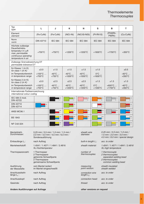# **Thermoelemente Thermocouples**

| Typ<br>type                                                                                                                 | L                                                                                                   | J                                   | Κ                                    | N                                     | ${\sf s}$                                                                    | B                                                                                                     | T                                   |
|-----------------------------------------------------------------------------------------------------------------------------|-----------------------------------------------------------------------------------------------------|-------------------------------------|--------------------------------------|---------------------------------------|------------------------------------------------------------------------------|-------------------------------------------------------------------------------------------------------|-------------------------------------|
| Element<br>element                                                                                                          | (Fe-CuNi)                                                                                           | (Fe-CuNi)                           | (NiCr-Ni)                            | (NiCrSi-NiSi)                         | $(Pt-Rh10)$                                                                  | (Pt30Rh-<br>Pt6Rh)                                                                                    | (Cu-CuNi)                           |
| Norm<br>norm                                                                                                                | <b>DIN 43710</b>                                                                                    | <b>IEC 584</b>                      | <b>IEC 584</b>                       | <b>IEC 584</b>                        | <b>IEC 584</b>                                                               | <b>IEC 584</b>                                                                                        | <b>IEC 584</b>                      |
| Höchste zulässige<br>Dauerbetriebs-<br>temperatur in Luft<br>max. permissible<br>continuous operating<br>temperature in air | $+700^{\circ}$ C                                                                                    | $+750^{\circ}$ C                    | $+1200^{\circ}$ C                    | $+1200^{\circ}$ C                     | $+1600^{\circ}$ C                                                            | $+1700^{\circ}$ C                                                                                     | $+350^{\circ}$ C                    |
| Zulässige Grenzabweichung DT<br>permissible tolerance DT                                                                    |                                                                                                     |                                     |                                      |                                       |                                                                              |                                                                                                       |                                     |
| für Klasse 1 (in K)<br>for class $1$ (in K)                                                                                 | ±3.0                                                                                                | ±1.5                                | ±1.5                                 | ±1.5                                  | ±1.0                                                                         |                                                                                                       | ±0.5                                |
| im Temperaturbereich<br>in temperature range                                                                                | $+100^{\circ}$ C<br>$+700^{\circ}$ C                                                                | $-40^{\circ}$ C<br>$+750^{\circ}$ C | $-40^{\circ}$ C<br>$+1000^{\circ}$ C | $-40^{\circ}$ C<br>$+1000^{\circ}$ C  | $0^{\circ}$ C<br>$+1600^{\circ}$ C                                           |                                                                                                       | $-40^{\circ}$ C<br>$+350^{\circ}$ C |
| für Klasse 2 (in K)<br>for class $2$ (in $K$ )                                                                              | ±3.0                                                                                                | ±2.5                                | ±2.5                                 | ±2.5                                  | ±1.5                                                                         | ±1.5                                                                                                  | ±1.0                                |
| im Temperaturbereich<br>in temperature range                                                                                | $+100^{\circ}$ C<br>$+700^{\circ}$ C                                                                | $-40^{\circ}$ C<br>$+750^{\circ}$ C | $-40^{\circ}$ C<br>$+1200^{\circ}$ C | $-40^{\circ}$ C<br>$+1200^{\circ}$ C  | $0^{\circ}$ C<br>$+1300^{\circ}$ C                                           | $+600^{\circ}$ C<br>$+1700^{\circ}$ C                                                                 | $-40^{\circ}$ C<br>$+350^{\circ}$ C |
| Internationale Farbkennzeichnung<br>international colour coding                                                             |                                                                                                     |                                     |                                      |                                       |                                                                              |                                                                                                       |                                     |
| IEC 584-3 mod.<br><b>DIN 43722</b>                                                                                          |                                                                                                     | $^{+}$                              | $^{+}$                               | $\ddot{}$                             | $\ddot{}$                                                                    | $\ddot{}$                                                                                             | $\,^+$                              |
| <b>DIN 43710</b><br><b>DIN 43714</b>                                                                                        | $\boldsymbol{+}$                                                                                    |                                     | $\ddot{}$                            |                                       | $\begin{array}{c} + \end{array}$                                             |                                                                                                       | $\ddag$                             |
| ANSI MC96.1                                                                                                                 |                                                                                                     | $^{+}$                              | $\ddot{}$                            | $+$                                   | $\ddot{}$                                                                    | ∃+                                                                                                    | $\begin{array}{c} + \end{array}$    |
| <b>BS 1843</b>                                                                                                              |                                                                                                     | $\ddot{}$                           | $^{+}$                               | $\! +$                                | $\begin{array}{c} + \end{array}$                                             |                                                                                                       | $\! + \!\!\!\!$                     |
| NF C42-324                                                                                                                  |                                                                                                     | $\overline{+}$                      | $\ddot{}$                            |                                       | $\ddag$                                                                      | $\overline{\mathbf{I}}$ +                                                                             | $\! + \!\!\!\!$                     |
| Manteldraht-<br>Durchmesser:                                                                                                | 0,25 mm / 0,5 mm / 1,0 mm / 1,5 mm /<br>2,0 mm / 3,0 mm / 4,5 mm / 6,0 mm /<br>Sonderausführung     |                                     |                                      | sheath wire<br>diameter:              |                                                                              | $0.25$ mm / 0.5 mm / 1.0 mm /<br>$1.5$ mm / 2.0 mm / 3.0 mm /<br>4.5 mm / 6.0 mm / special design     |                                     |
| Einbaulänge $L_1$ :                                                                                                         | nach Auftrag                                                                                        |                                     |                                      | built-in length L <sub>i</sub> :      |                                                                              | acc. to order                                                                                         |                                     |
| Mantelwerkstoff:                                                                                                            | 1.4541 / 1.4571 / 1.4841 / 2.4816<br>XL-Hochtemperatur                                              |                                     |                                      |                                       | 1.4541 / 1.4571 / 1.4841 / 2.4816<br>sheath material:<br>XL-high temperature |                                                                                                       |                                     |
| Thermopaaranzahl:                                                                                                           | 1 Thermopaar<br>2 Thermopaare<br>getrennte Schweißperle<br>2 Thermopaare<br>gemeinsame Schweißperle |                                     |                                      | number of<br>thermocouples:           |                                                                              | 1 thermocouple<br>2 thermocouples<br>separated welding bead<br>2 thermocouples<br>common welding bead |                                     |
| Ausführung<br>der Messstelle:                                                                                               | vom Mantel isoliert<br>im Mantel eingeschweißt                                                      |                                     |                                      |                                       | sheath insulated<br>measuring<br>point version:<br>sheath welded             |                                                                                                       |                                     |
| Anschlussdraht-<br>länge $L2$ :                                                                                             | nach Auftrag                                                                                        |                                     |                                      | connection wire<br>length $L_{\nu}$ : |                                                                              | acc. to order                                                                                         |                                     |
| Anschlusskopf:                                                                                                              | nach Auftrag                                                                                        |                                     |                                      | connection head:                      |                                                                              | acc. to order                                                                                         |                                     |

Gewinde: nach Auftrag

Andere Ausführungen auf Anfrage

Ŷ.

other versions on request

thread: acc. to order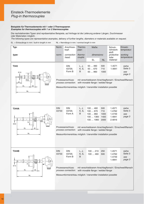#### Beispiele für Thermoelemente mit 1 oder 2 Thermopaaren Examples for thermocouples with 1 or 2 thermocouples

Die nachstehenden Typen sind repräsentative Beispiele, auf Anfrage ist die Lieferung anderer Längen, Durchmesser oder Materialien möglich.

The following types are representative examples, delivery of further lengths, diameters or materials available on request.



| Typ:<br>type:           | Norm:<br>Anschluss-<br>kopf:<br>connection<br>norm:                                                                                                                                                         |                                          | Thermo-<br>paar:<br>thermo- | Maße:<br>dimensions:                                                                                                                                            |                                    | Schutz-<br>rohrwerk-<br>stoff:<br>protective   | Einsatz-<br>temperatur:<br>working |  |
|-------------------------|-------------------------------------------------------------------------------------------------------------------------------------------------------------------------------------------------------------|------------------------------------------|-----------------------------|-----------------------------------------------------------------------------------------------------------------------------------------------------------------|------------------------------------|------------------------------------------------|------------------------------------|--|
|                         |                                                                                                                                                                                                             | head:                                    | couple:                     | EL.                                                                                                                                                             | <b>NL</b>                          | tube<br>material:                              | temperature:                       |  |
| T343<br>Ø <sub>15</sub> |                                                                                                                                                                                                             | <b>DIN</b><br>43729,<br>Form B           | L, J,<br>K, S,<br>B         | 50460<br>50670<br>50960                                                                                                                                         | 500<br>710<br>1000                 | 1.4571<br>1.4841                               | siehe<br>Seite 3<br>see<br>page 3  |  |
| 55<br>40<br>EL<br>32    | Prozessanschluss:<br>mit verschiebbarem Anschlagflansch / Einschweißflansch<br>with movable flange / welded flange<br>process connection:<br>Messumformereinbau möglich / transmitter installation possible |                                          |                             |                                                                                                                                                                 |                                    |                                                |                                    |  |
| <b>NL</b>               |                                                                                                                                                                                                             |                                          |                             |                                                                                                                                                                 |                                    |                                                |                                    |  |
| T344A<br>蝨<br>70        | <b>DIN</b><br>43733                                                                                                                                                                                         | <b>DIN</b><br>43729,<br>Form A           | L, J,<br>K, S,<br>B         | 100460<br>100670<br>100960<br>100  1360<br>100  1960                                                                                                            | 500<br>710<br>1000<br>1400<br>2000 | 1.4571<br>1.4762<br>1.4749<br>1.4841<br>2.4816 | siehe<br>Seite 3<br>see<br>page 3  |  |
| Ø22<br>32<br>EL<br>NL   | Prozessanschluss:<br>mit verschiebbarem Anschlagflansch / Einschweißflansch<br>with movable flange / welded flange<br>process connection:                                                                   |                                          |                             |                                                                                                                                                                 |                                    |                                                |                                    |  |
|                         | Messumformereinbau möglich / transmitter installation possible                                                                                                                                              |                                          |                             |                                                                                                                                                                 |                                    |                                                |                                    |  |
|                         |                                                                                                                                                                                                             |                                          |                             |                                                                                                                                                                 |                                    |                                                |                                    |  |
| T344B                   | <b>DIN</b><br>43733                                                                                                                                                                                         | <b>DIN</b><br>43729,<br>Form B           | L, J,<br>K, S,<br>B         | 100210<br>100  460                                                                                                                                              | 250<br>500                         | 1.4571<br>1.4762<br>1.4749<br>1.4841           | siehe<br>Seite 3<br>see<br>page 3  |  |
| 70<br>Ø15<br>EL<br>32   |                                                                                                                                                                                                             | Prozessanschluss:<br>process connection: |                             | mit verschiebbarem Anschlagflansch / Einschweißflansch<br>with movable flange / welded flange<br>Messumformereinbau möglich / transmitter installation possible |                                    |                                                |                                    |  |
| <b>NL</b>               |                                                                                                                                                                                                             |                                          |                             |                                                                                                                                                                 |                                    |                                                |                                    |  |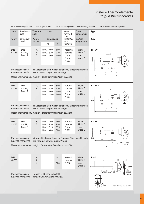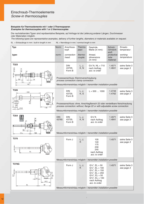#### Beispiele für Thermoelemente mit 1 oder 2 Thermopaaren Examples for thermocouples with 1 or 2 thermocouples

Die nachstehenden Typen sind repräsentative Beispiele, auf Anfrage ist die Lieferung anderer Längen, Durchmesser oder Materialien möglich.

The following types are representative examples, delivery of further lengths, diameters or materials available on request.

 $EL = E$ inbaulänge in mm / built-in length in mm NL = Nennlänge in mm / nominal length in mm

| Typ:                                               | Norm:                                                          | Anschluss-<br>kopf:                                                                                                                                                                                                        | Thermo-<br>paar:   | Gewinde,<br>Maße (in mm):                                                                                                                                                                     | Schutz-<br>rohrwerk-<br>stoff:  | Einsatz-<br>temperatur:     |  |  |
|----------------------------------------------------|----------------------------------------------------------------|----------------------------------------------------------------------------------------------------------------------------------------------------------------------------------------------------------------------------|--------------------|-----------------------------------------------------------------------------------------------------------------------------------------------------------------------------------------------|---------------------------------|-----------------------------|--|--|
| type:                                              | norm:                                                          | connection<br>head:                                                                                                                                                                                                        | thermo-<br>couple: | thread,<br>dimensions<br>(in mm):                                                                                                                                                             | protective<br>tube<br>material: | working<br>temperature:     |  |  |
| T323<br>kπ                                         |                                                                | <b>DIN</b><br>43729,<br>Form B                                                                                                                                                                                             | L, J,<br>K, N      | $G\frac{1}{2}$ <sup>"</sup> A, NL = 710<br>nach Auftrag<br>acc. to order                                                                                                                      | 1.4571<br>1.4841                | siehe Seite 3<br>see page 3 |  |  |
|                                                    |                                                                | Prozessanschluss: Klemmverschraubung<br>process connection: clamp connection                                                                                                                                               |                    | Messumformereinbau möglich / transmitter installation possible                                                                                                                                |                                 |                             |  |  |
| T326<br>$\sim 500$                                 |                                                                | <b>DIN</b><br>43729,<br>Form B                                                                                                                                                                                             | L, J,<br>K, S      | $L = 500$ 1000                                                                                                                                                                                | 1.4749<br>1.4762                | siehe Seite 3<br>see page 3 |  |  |
| 022<br>~105<br>Ø 22                                |                                                                | Prozessanschluss: ohne, Anschlagflansch 22 oder verstellbare Verschraubung<br>process connection: without, flange 22 or with adjustable screw connection<br>Messumformereinbau möglich / transmitter installation possible |                    |                                                                                                                                                                                               |                                 |                             |  |  |
| T354                                               | <b>DIN</b><br>43765                                            | <b>DIN</b><br>43729,<br>Form B                                                                                                                                                                                             | L, J,<br>K, N      | $G'/2$ "A<br>nach Auftrag<br>acc. to order                                                                                                                                                    | 1.4571<br>1.4841                | siehe Seite 3<br>see page 3 |  |  |
| 130                                                |                                                                | Messumformereinbau möglich / transmitter installation possible                                                                                                                                                             |                    |                                                                                                                                                                                               |                                 |                             |  |  |
| <b>T370</b><br>D<br>EL<br>≖                        |                                                                | Form J                                                                                                                                                                                                                     | L, J,<br>K.        | 105<br>140<br>175<br>230<br>245<br>nach Auftrag<br>acc. to order                                                                                                                              | 1.4571                          | siehe Seite 3<br>see page 3 |  |  |
|                                                    | Messumformereinbau möglich / transmitter installation possible |                                                                                                                                                                                                                            |                    |                                                                                                                                                                                               |                                 |                             |  |  |
| <b>T370G</b><br>$\sigma$<br>14<br>44.5<br>EL<br>58 |                                                                | Form J                                                                                                                                                                                                                     | L, J,<br>K         | $G\frac{1}{2}$ , EL = 50<br>$G\frac{1}{2}$ , EL = 100<br>$G\frac{1}{2}$ , EL = 150<br>$G\frac{1}{2}$ , EL = 250<br>$G^3/s$ ", EL = 50<br>$G^3/s$ ", EL = 100<br>nach Auftrag<br>acc. to order | 1.4571                          | siehe Seite 3<br>see page 3 |  |  |
|                                                    |                                                                |                                                                                                                                                                                                                            |                    | Messumformereinbau möglich / transmitter installation possible                                                                                                                                |                                 |                             |  |  |

www.heinz-messwiderstaende.de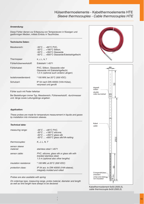# Hülsenthermoelemente - Kabelthermoelemente HTE Sleeve thermocouples - Cable thermocouples HTE

#### Anwendung:

Diese Fühler dienen zur Erfassung von Temperaturen in flüssigen und gasförmigen Medien, mittels Einbau in Tauchhülse.

#### Technische Daten:

| Messbereich:           | $-35^{\circ}$ C $ + 80^{\circ}$ C PVC,<br>$-50^{\circ}$ C $ +180^{\circ}$ C Silikon,<br>$-50^{\circ}$ C $+350^{\circ}$ C Glasseide<br>-50°C  +600°C Glasseide/Edelstahlgeflecht |
|------------------------|---------------------------------------------------------------------------------------------------------------------------------------------------------------------------------|
| Thermopaar:            | K, J, L, N, T                                                                                                                                                                   |
| Fühlerhülsenwerkstoff: | Edelstahl 1.4571                                                                                                                                                                |
| Fühlerkabel:           | PVC, Silikon, Glasseide oder<br>Glasseide mit Edelstahlgeflecht;<br>1,5 m (optional auch andere Längen)                                                                         |
| Isolationswiderstand:  | <sup>3</sup> 100 MW, bei 20°C (500 VDC)                                                                                                                                         |
| Schutzart:             | IP 54 nach DIN 40050 (V4A-Hülse),<br>verpresst und gerollt                                                                                                                      |

#### Fühler auch mit Feder lieferbar

Bei Bestellungen immer Typ, Messbereich, Fühlerwerkstoff, -durchmesser und -länge sowie Leitungslänge angeben

#### Application:

These probes are made for temperature measurement in liquids and gases by installation into immersion sleeves.

#### Technical data:

| measuring range:              | -35°C  +80°C PVC.<br>$-50^{\circ}$ C $$ $+180^{\circ}$ C silicone,<br>$-50^{\circ}$ C $$ $+350^{\circ}$ C glass silk<br>-50°C  +600°C glass silk/VA-netting |
|-------------------------------|-------------------------------------------------------------------------------------------------------------------------------------------------------------|
| thermocouples:                | K. J. L. N. T                                                                                                                                               |
| sensor sleeve<br>material:    | stainless steel 1.4571                                                                                                                                      |
| sensor cable:                 | PVC, silicone, glass silk or glass silk with<br>braided stainless steel:<br>1.5 m (optional also other lengths)                                             |
| <i>insulation resistance:</i> | <sup>3</sup> 100 MN, at 20°C (500 VDC)                                                                                                                      |
| <i>protection class:</i>      | IP 54 acc. to DIN 40050 (V4A-sleeve),<br>integrally molded and rolled                                                                                       |

Probes are also available with spring

On orderings type, measuring range, probe material, diameter and length as well as wire length have always to be declared

Goethestraße 16





Kabelthermoelement 6x50.2500.2L cable thermocouple 6x50.2500.2L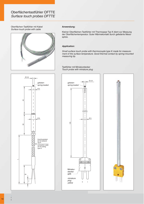Oberflächen-Tastfühler mit Kabel Surface touch probe with cable

#### Anwendung:

Kleiner Oberflächen-Tastfühler mit Thermopaar Typ K dient zur Messung der Oberflächentemperatur. Guter Wärmekontakt durch gefederte Messspitze.

#### Application:

Small surface touch probe with thermocouple type K made for measurement of the surface temperature. Good thermal contact by spring-mounted measuring tip.

Tastfühler mit Miniaturstecker Touch probe with miniature plug





Goethestraße 16 D-98716 Elgersburg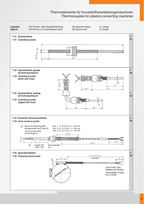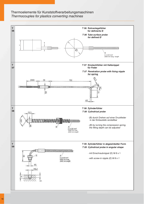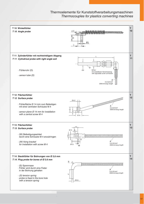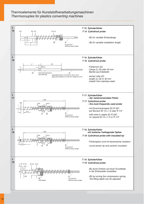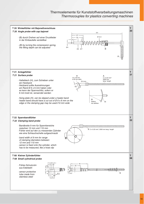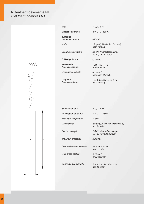# Nutenthermoelemente NTE Slot thermocouples NTE



Einsatztemperatur:

Zulässige Höchsttemperatur:

Maße:

Spannungsfestigkeit:

Zulässiger Druck:

Isolation der Anschlussleitung:

Leitungsquerschnitt:

Länge der Anschlussleitung: K, J, L, T, N

-50°C … +180°C

+200°C

Länge (l), Breite (b), Dicke (s) nach Auftrag

5 kV, Wechselspannung, £ 50 Hz, 1 min. Dauer

2 MPa £

FEP, PFA, PTFE rund oder flach

0,22 $mm<sup>2</sup>$ oder nach Wunsch

1m, 1,5 m, 3 m, 4 m, 5 m, nach Auftrag

K, J, L, T, N  $-50^{\circ}$ C  $...$  +180 $^{\circ}$ C +200°C length (l), width (b), thickness (s) acc. to order 5 kV, alternating voltage, £ 50 Hz, 1 minute duration 2 MPa £ FEP, PFA, PTFE round or flat 0.22 mm<sup>2</sup> or on request 1m, 1.5 m, 3 m, 4 m, 5 m, acc. to order Sensor element: Working temperature: Maximum temperature: Dimensions: Electric strength: Maximum pressure: Connection line insulation: Wire cross section: Connection line length:

20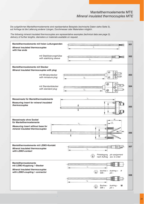Die aufgeführten Mantelthermoelemente sind repräsentative Beispiele (technische Daten siehe Seite 3), auf Anfrage ist die Lieferung anderer Längen, Durchmesser oder Materialien möglich.

The following mineral insulated thermocouples are representative examples (technical data see page 3), delivery of further lengths, diameters or materials available on request.

| Mantelthermoelemente mit freien Leitungsenden<br><b>Mineral insulated thermocouples</b><br>with free ends |                                                                     | 301 |
|-----------------------------------------------------------------------------------------------------------|---------------------------------------------------------------------|-----|
| mit Stabilisierungshülse<br>with stabilizing sleeve                                                       |                                                                     | 302 |
| <b>Mantelthermoelemente mit Stecker</b><br>Mineral insulated thermocouples with plug                      |                                                                     |     |
| mit Miniaturstecker<br>with miniature plug                                                                | ⊘<br>Ø                                                              | 303 |
| mit Standardstecker<br>with standard plug                                                                 | Æ                                                                   | 304 |
| Messeinsatz für Mantelthermoelemente                                                                      |                                                                     |     |
| <b>Measuring insert for mineral insulated</b><br>thermocouples                                            |                                                                     | 305 |
| <b>Messeinsatz ohne Sockel</b><br>für Mantelthermoelemente                                                | 猫<br>1.5.                                                           |     |
| Measuring insert without base for<br>mineral insulated thermocouples                                      | deem                                                                | 306 |
| Mantelthermoelemente mit LEMO-Kontakt                                                                     |                                                                     | 307 |
| <b>Mineral insulated thermocouples</b><br>with LEMO-contact                                               | Pinbelegung<br>pin assignment<br>€<br>nach Auftrag<br>acc. to order |     |
| <b>Mantelthermoelemente</b><br>mit LEMO-Kupplung / -Stecker                                               |                                                                     |     |
| <b>Mineral insulated thermocouples</b><br>with LEMO-coupling / -connector                                 | bushing $+$<br>Buchse +<br>F<br>$\bigodot$<br>Stift -<br>pin -      | 308 |
| Ł                                                                                                         | Buchse -<br>bushing -<br>M                                          |     |
|                                                                                                           | $\widehat{\bullet}$<br>Stift +<br>$pin +$                           |     |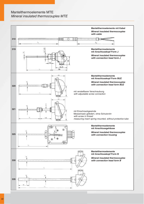# Mantelthermoelemente MTE Mineral insulated thermocouples MTE

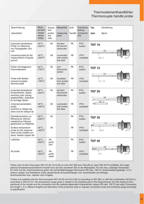# Thermoelementhandfühler Thermocouple handle probe

| Beschreibung                                                                                                                 | Mess-<br>bereich                            | Schutz-<br>rohr         | Messstelle                             | Griff     | Anschluss-<br>leitung | <b>Typ</b><br>Darstellung        |
|------------------------------------------------------------------------------------------------------------------------------|---------------------------------------------|-------------------------|----------------------------------------|-----------|-----------------------|----------------------------------|
| description                                                                                                                  | tempe-<br>rature<br>range                   | protec-<br>tive<br>tube | measuring<br>point                     | handle    | connecion<br>line     | type<br>figure                   |
| universell einsetzbarer<br>Fühler zur Messung<br>von Flüssigkeiten und<br>Luft                                               | $-50^{\circ}$ C<br>$+500^{\circ}$ C         | VA                      | mit dem<br>Schutzrohr<br>verbunden     | PA        | PVC-<br>isoliert      | <b>TEF 10</b><br>$150 -$         |
| Universal probe for the<br>measurement of liquids<br>and air                                                                 | $-50^{\circ}C$<br>+500 $\mathrm{^{\circ}C}$ | VA                      | connected<br>with protec-<br>tive tube | PA        | PVC-<br>insulated     | $\overline{OZ}$ 4                |
| Fühler mit biegbarem<br>Thermoelement                                                                                        | $-50^{\circ}$ C<br>$+750^{\circ}$ C         | VA                      | vom<br>Schutzrohr<br><i>isoliert</i>   | PA        | PVC-<br>isoliert      | <b>TEF 12</b><br>200             |
| Probe with flexible<br>mineral insulated<br>thermocouple                                                                     | $-50^{\circ}C$<br>+750 $\mathrm{^{\circ}C}$ | VA                      | insulated<br>from protec-<br>tive tube | PA        | PVC-<br>insulated     | Ø14,5                            |
| universell einsetzbarer<br>Einstechfühler, Spitze<br>zentrisch oder schräg<br>angeschliffen, Aufpreise<br>für schräge Spitze | $-50^{\circ}$ C<br>$+400^{\circ}$ C         | VA                      | mit dem<br>Schutzrohr<br>verbunden     | PA        | PVC-<br>isoliert      | <b>TEF 20</b><br>100<br>02.4     |
| Universal penetration<br>probe,<br>centrical or oblique tip,<br>extra cost for oblique tip                                   | $-50^{\circ}C$<br>+400 $^{\circ}$ C         | VA                      | connected<br>with protec-<br>tive tube | PA        | PVC-<br>insulated     |                                  |
| Oberflächenfühler zur<br>Messung an ebenen<br>metallischen Flächen,<br>gefedertes Cu-Plättchen                               | $-50^{\circ}$ C<br>$+400^{\circ}$ C         | VA                      |                                        | <b>PA</b> | PVC-<br>isoliert      | <b>TEF 30</b><br>150             |
| Surface temperature<br>probe for the measure-<br>ment at flat metallic sur-<br>faces, flexible copper die                    | $-50^{\circ}C$<br>+400 $^{\circ}$ C         | VA                      |                                        | PA        | PVC-<br>insulated     | $\overline{\mathcal{O}}$<br>54,5 |
| Luftfühler                                                                                                                   | $-50^{\circ}$ C<br>$+500^{\circ}$ C         | VA,<br>perfo-<br>riert  |                                        | PA        | PVC-<br>isoliert      | <b>TEF 40</b><br>150<br>000      |
| Air probe                                                                                                                    | $-50^{\circ}C$<br>+500 $^{\circ}C$          | VA,<br>perfo-<br>rated  |                                        | PA        | PVC-<br>insulated     | $\overline{O}$                   |

Fühler sind mit den Paarungen NiCr-Ni (K); Fe-CuNi (J) nach IEC 584 bzw. FeCuNi (L) nach DIN 43710 erhältlich. Der angegebene Einsatztemperaturbereich bezieht sich auf den sensitiven Teil an der Messspitze. Für die max. zulässige Temperatur am Griff und der Anschlussleitung gelten die werkstoffabhängigen Kennwerte (PA max. 130°C). Anschlussleitungslänge 1,5 m; andere Längen und Kabelarten sowie abweichende Schutzrohrlängen und -durchmesser auf Anfrage; Anschlussenden bzw. -stecker nach Angabe.

Probes are available with the thermocouples NiCr-Ni (K) and Fe-CuNi (J) according to IEC 584, or with the combination FeCuNi (L) according to DIN 43710. The temperature range given is related to the sensitive part of the measuring tip. For the maximum temperatures of the handle and the connection line the material-dependent characteristic values (PA max. 130°C) are valid. Connection line length 1.5 m; different lengths and diameters of the protective tube on request; connection ends and connector plugs according to specification.